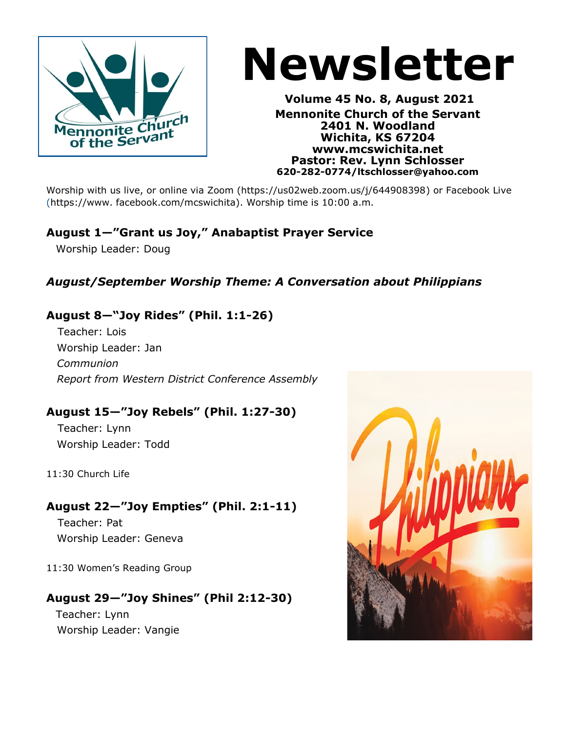

# **Newsletter**

**Volume 45 No. 8, August 2021 Mennonite Church of the Servant 2401 N. Woodland Wichita, KS 67204 www.mcswichita.net Pastor: Rev. Lynn Schlosser 620-282-0774/ltschlosser@yahoo.com**

Worship with us live, or online via Zoom (https://us02web.zoom.us/j/644908398[\)](https://us02web.zoom.us/j/644908398) or Facebook Live (https://www. facebook.com/mcswichita). Worship time is 10:00 a.m.

### **August 1—"Grant us Joy," Anabaptist Prayer Service**

Worship Leader: Doug

#### *August/September Worship Theme: A Conversation about Philippians*

#### **August 8—"Joy Rides" (Phil. 1:1-26)**

Teacher: Lois Worship Leader: Jan *Communion Report from Western District Conference Assembly*

#### **August 15—"Joy Rebels" (Phil. 1:27-30)**

Teacher: Lynn Worship Leader: Todd

11:30 Church Life

#### **August 22—"Joy Empties" (Phil. 2:1-11)**

Teacher: Pat Worship Leader: Geneva

11:30 Women's Reading Group

#### **August 29—"Joy Shines" (Phil 2:12-30)**

 Teacher: Lynn Worship Leader: Vangie

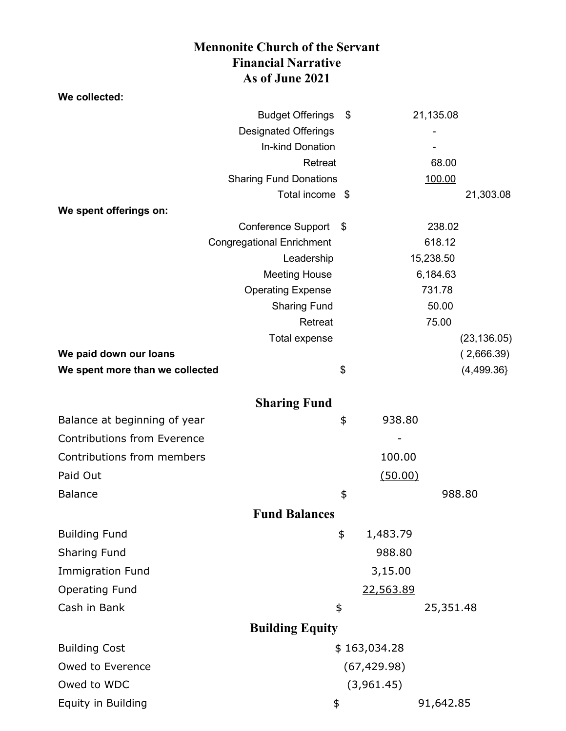#### **Mennonite Church of the Servant Financial Narrative As of June 2021**

| We collected:                      |                                                |              |                     |           |              |  |  |
|------------------------------------|------------------------------------------------|--------------|---------------------|-----------|--------------|--|--|
|                                    | <b>Budget Offerings</b>                        | \$           |                     | 21,135.08 |              |  |  |
|                                    | <b>Designated Offerings</b>                    |              |                     |           |              |  |  |
|                                    | In-kind Donation                               |              |                     |           |              |  |  |
|                                    | Retreat                                        |              |                     | 68.00     |              |  |  |
|                                    | <b>Sharing Fund Donations</b>                  |              |                     | 100.00    |              |  |  |
|                                    | Total income \$                                |              |                     |           | 21,303.08    |  |  |
| We spent offerings on:             |                                                |              |                     |           |              |  |  |
|                                    | <b>Conference Support</b><br>- \$              |              | 238.02              |           |              |  |  |
|                                    | <b>Congregational Enrichment</b><br>Leadership |              | 618.12<br>15,238.50 |           |              |  |  |
|                                    | <b>Meeting House</b>                           |              | 6,184.63            |           |              |  |  |
|                                    | <b>Operating Expense</b>                       |              | 731.78              |           |              |  |  |
|                                    | <b>Sharing Fund</b>                            |              |                     | 50.00     |              |  |  |
|                                    | Retreat                                        |              |                     | 75.00     |              |  |  |
|                                    | <b>Total expense</b>                           |              |                     |           | (23, 136.05) |  |  |
| We paid down our loans             |                                                |              |                     |           | (2,666.39)   |  |  |
| We spent more than we collected    |                                                | \$           |                     |           | (4,499.36)   |  |  |
|                                    |                                                |              |                     |           |              |  |  |
|                                    | <b>Sharing Fund</b>                            |              |                     |           |              |  |  |
| Balance at beginning of year       |                                                | \$           | 938.80              |           |              |  |  |
| <b>Contributions from Everence</b> |                                                |              |                     |           |              |  |  |
| Contributions from members         |                                                |              | 100.00              |           |              |  |  |
| Paid Out                           |                                                |              | (50.00)             |           |              |  |  |
| <b>Balance</b>                     |                                                | \$           |                     |           | 988.80       |  |  |
|                                    | <b>Fund Balances</b>                           |              |                     |           |              |  |  |
| <b>Building Fund</b>               |                                                | \$           | 1,483.79            |           |              |  |  |
| Sharing Fund                       |                                                |              | 988.80              |           |              |  |  |
| <b>Immigration Fund</b>            |                                                |              | 3,15.00             |           |              |  |  |
| <b>Operating Fund</b>              |                                                |              | 22,563.89           |           |              |  |  |
| Cash in Bank                       | \$                                             |              |                     | 25,351.48 |              |  |  |
|                                    | <b>Building Equity</b>                         |              |                     |           |              |  |  |
| <b>Building Cost</b>               |                                                | \$163,034.28 |                     |           |              |  |  |
| Owed to Everence                   |                                                | (67, 429.98) |                     |           |              |  |  |
| Owed to WDC                        | (3,961.45)                                     |              |                     |           |              |  |  |
| Equity in Building                 | \$                                             |              | 91,642.85           |           |              |  |  |